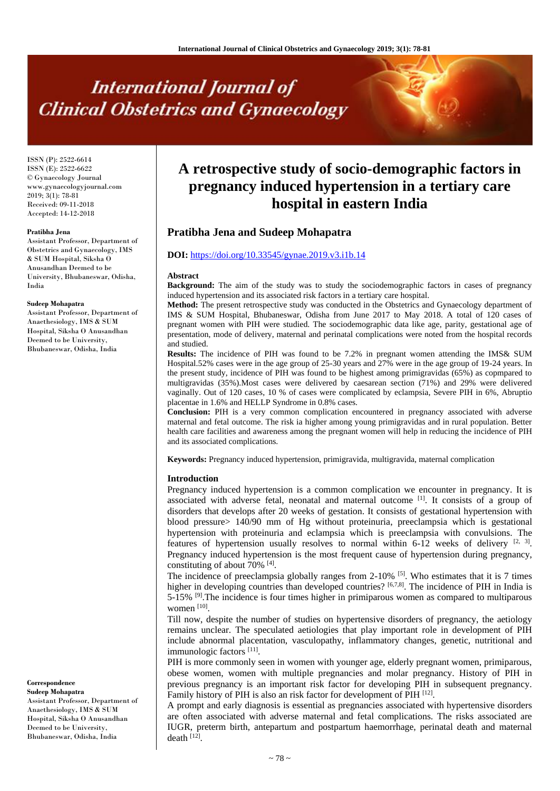# **International Journal of Clinical Obstetrics and Gynaecology**

ISSN (P): 2522-6614 ISSN (E): 2522-6622 © Gynaecology Journal www.gynaecologyjournal.com  $2019; 3(1): 78-81$ Received: 09-11-2018 Accepted: 14-12-2018

#### **Pratibha Jena**

Assistant Professor, Department of Obstetrics and Gynaecology, IMS & SUM Hospital, Siksha O Anusandhan Deemed to be University, Bhubaneswar, Odisha, India

#### **Sudeep Mohapatra**

Assistant Professor, Department of Anaethesiology, IMS & SUM Hospital, Siksha O Anusandhan Deemed to be University, Bhubaneswar, Odisha, India

#### **Correspondence Sudeep Mohapatra**

Assistant Professor, Department of Anaethesiology, IMS & SUM Hospital, Siksha O Anusandhan Deemed to be University, Bhubaneswar, Odisha, India

# **A retrospective study of socio-demographic factors in pregnancy induced hypertension in a tertiary care hospital in eastern India**

# **Pratibha Jena and Sudeep Mohapatra**

### **DOI:** <https://doi.org/10.33545/gynae.2019.v3.i1b.14>

#### **Abstract**

**Background:** The aim of the study was to study the sociodemographic factors in cases of pregnancy induced hypertension and its associated risk factors in a tertiary care hospital.

**Method:** The present retrospective study was conducted in the Obstetrics and Gynaecology department of IMS & SUM Hospital, Bhubaneswar, Odisha from June 2017 to May 2018. A total of 120 cases of pregnant women with PIH were studied. The sociodemographic data like age, parity, gestational age of presentation, mode of delivery, maternal and perinatal complications were noted from the hospital records and studied.

**Results:** The incidence of PIH was found to be 7.2% in pregnant women attending the IMS& SUM Hospital.52% cases were in the age group of 25-30 years and 27% were in the age group of 19-24 years. In the present study, incidence of PIH was found to be highest among primigravidas (65%) as copmpared to multigravidas (35%).Most cases were delivered by caesarean section (71%) and 29% were delivered vaginally. Out of 120 cases, 10 % of cases were complicated by eclampsia, Severe PIH in 6%, Abruptio placentae in 1.6% and HELLP Syndrome in 0.8% cases.

**Conclusion:** PIH is a very common complication encountered in pregnancy associated with adverse maternal and fetal outcome. The risk ia higher among young primigravidas and in rural population. Better health care facilities and awareness among the pregnant women will help in reducing the incidence of PIH and its associated complications.

**Keywords:** Pregnancy induced hypertension, primigravida, multigravida, maternal complication

#### **Introduction**

Pregnancy induced hypertension is a common complication we encounter in pregnancy. It is associated with adverse fetal, neonatal and maternal outcome [1]. It consists of a group of disorders that develops after 20 weeks of gestation. It consists of gestational hypertension with blood pressure> 140/90 mm of Hg without proteinuria, preeclampsia which is gestational hypertension with proteinuria and eclampsia which is preeclampsia with convulsions. The features of hypertension usually resolves to normal within  $6-12$  weeks of delivery  $[2, 3]$ . Pregnancy induced hypertension is the most frequent cause of hypertension during pregnancy, constituting of about 70% <sup>[4]</sup>.

The incidence of preeclampsia globally ranges from  $2-10\%$  <sup>[5]</sup>. Who estimates that it is 7 times higher in developing countries than developed countries? [6,7,8]. The incidence of PIH in India is 5-15% [9].The incidence is four times higher in primiparous women as compared to multiparous women [10].

Till now, despite the number of studies on hypertensive disorders of pregnancy, the aetiology remains unclear. The speculated aetiologies that play important role in development of PIH include abnormal placentation, vasculopathy, inflammatory changes, genetic, nutritional and immunologic factors [11].

PIH is more commonly seen in women with younger age, elderly pregnant women, primiparous, obese women, women with multiple pregnancies and molar pregnancy. History of PIH in previous pregnancy is an important risk factor for developing PIH in subsequent pregnancy. Family history of PIH is also an risk factor for development of PIH [12].

A prompt and early diagnosis is essential as pregnancies associated with hypertensive disorders are often associated with adverse maternal and fetal complications. The risks associated are IUGR, preterm birth, antepartum and postpartum haemorrhage, perinatal death and maternal death  $^{[12]}$ .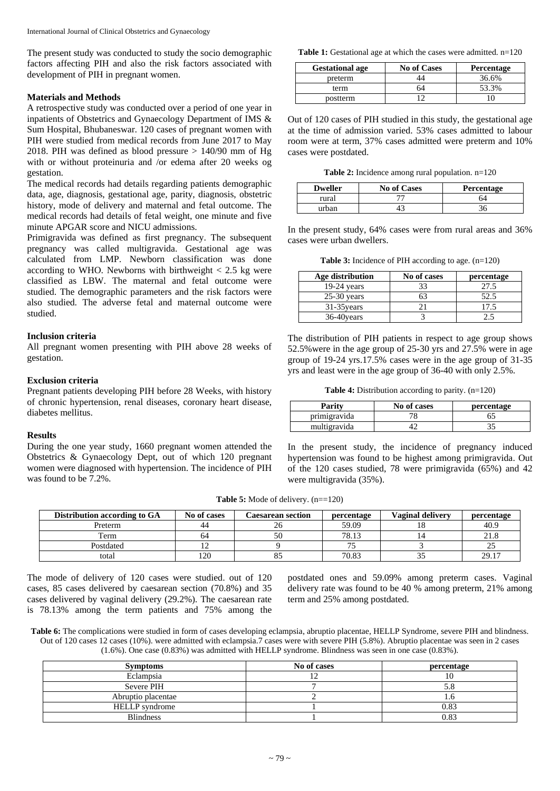The present study was conducted to study the socio demographic factors affecting PIH and also the risk factors associated with development of PIH in pregnant women.

# **Materials and Methods**

A retrospective study was conducted over a period of one year in inpatients of Obstetrics and Gynaecology Department of IMS & Sum Hospital, Bhubaneswar. 120 cases of pregnant women with PIH were studied from medical records from June 2017 to May 2018. PIH was defined as blood pressure > 140/90 mm of Hg with or without proteinuria and /or edema after 20 weeks og gestation.

The medical records had details regarding patients demographic data, age, diagnosis, gestational age, parity, diagnosis, obstetric history, mode of delivery and maternal and fetal outcome. The medical records had details of fetal weight, one minute and five minute APGAR score and NICU admissions.

Primigravida was defined as first pregnancy. The subsequent pregnancy was called multigravida. Gestational age was calculated from LMP. Newborn classification was done according to WHO. Newborns with birthweight  $< 2.5$  kg were classified as LBW. The maternal and fetal outcome were studied. The demographic parameters and the risk factors were also studied. The adverse fetal and maternal outcome were studied.

# **Inclusion criteria**

All pregnant women presenting with PIH above 28 weeks of gestation.

# **Exclusion criteria**

Pregnant patients developing PIH before 28 Weeks, with history of chronic hypertension, renal diseases, coronary heart disease, diabetes mellitus.

# **Results**

During the one year study, 1660 pregnant women attended the Obstetrics & Gynaecology Dept, out of which 120 pregnant women were diagnosed with hypertension. The incidence of PIH was found to be 7.2%.

**Table 1:** Gestational age at which the cases were admitted. n=120

| <b>Gestational age</b> | <b>No of Cases</b> | <b>Percentage</b> |
|------------------------|--------------------|-------------------|
| preterm                |                    | 36.6%             |
| term                   |                    | 53.3%             |
| postterm               |                    |                   |

Out of 120 cases of PIH studied in this study, the gestational age at the time of admission varied. 53% cases admitted to labour room were at term, 37% cases admitted were preterm and 10% cases were postdated.

**Table 2:** Incidence among rural population. n=120

| <b>Dweller</b> | <b>No of Cases</b> | <b>Percentage</b> |
|----------------|--------------------|-------------------|
| rural          |                    |                   |
| urhan          |                    |                   |

In the present study, 64% cases were from rural areas and 36% cases were urban dwellers.

**Table 3:** Incidence of PIH according to age. (n=120)

| Age distribution | No of cases | percentage |
|------------------|-------------|------------|
| $19-24$ years    |             | 27.5       |
| $25-30$ years    |             | 52.5       |
| $31-35$ years    |             | 17.5       |
| 36-40 years      |             |            |

The distribution of PIH patients in respect to age group shows 52.5%were in the age group of 25-30 yrs and 27.5% were in age group of 19-24 yrs.17.5% cases were in the age group of 31-35 yrs and least were in the age group of 36-40 with only 2.5%.

**Table 4:** Distribution according to parity. (n=120)

| Parity       | No of cases | percentage |
|--------------|-------------|------------|
| primigravida |             |            |
| multigravida |             |            |

In the present study, the incidence of pregnancy induced hypertension was found to be highest among primigravida. Out of the 120 cases studied, 78 were primigravida (65%) and 42 were multigravida (35%).

**Table 5:** Mode of delivery.  $(n=120)$ 

| Distribution according to GA | No of cases | Caesarean section | percentage | <b>Vaginal delivery</b> | percentage |
|------------------------------|-------------|-------------------|------------|-------------------------|------------|
| Preterm                      | 44          |                   | 59.09      |                         | 40.9       |
| Term                         | 64          | 50                | 78.13      |                         | 21.8       |
| Postdated                    |             |                   | 75         |                         | 25         |
| total                        | 120         |                   | 70.83      |                         | 29.17      |

The mode of delivery of 120 cases were studied. out of 120 cases, 85 cases delivered by caesarean section (70.8%) and 35 cases delivered by vaginal delivery (29.2%). The caesarean rate is 78.13% among the term patients and 75% among the postdated ones and 59.09% among preterm cases. Vaginal delivery rate was found to be 40 % among preterm, 21% among term and 25% among postdated.

**Table 6:** The complications were studied in form of cases developing eclampsia, abruptio placentae, HELLP Syndrome, severe PIH and blindness. Out of 120 cases 12 cases (10%). were admitted with eclampsia.7 cases were with severe PIH (5.8%). Abruptio placentae was seen in 2 cases (1.6%). One case (0.83%) was admitted with HELLP syndrome. Blindness was seen in one case (0.83%).

| <b>Symptoms</b>       | No of cases    | percentage |
|-----------------------|----------------|------------|
| Eclampsia             | $\overline{ }$ | 10         |
| Severe PIH            |                | 5.8        |
| Abruptio placentae    |                | 1.0        |
| <b>HELLP</b> syndrome |                | 0.83       |
| <b>Blindness</b>      |                | 0.83       |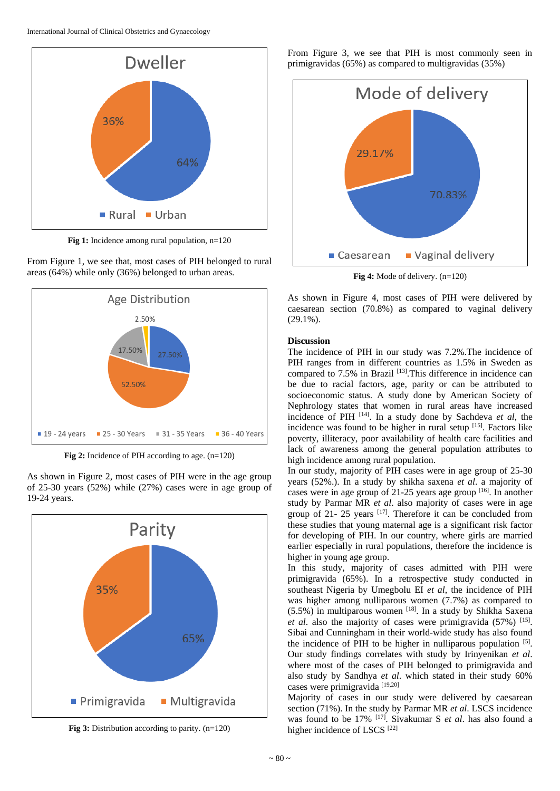

**Fig 1:** Incidence among rural population, n=120





**Fig 2:** Incidence of PIH according to age. (n=120)

As shown in Figure 2, most cases of PIH were in the age group of 25-30 years (52%) while (27%) cases were in age group of 19-24 years.



**Fig 3:** Distribution according to parity. (n=120)

From Figure 3, we see that PIH is most commonly seen in primigravidas (65%) as compared to multigravidas (35%)



**Fig 4:** Mode of delivery. (n=120)

As shown in Figure 4, most cases of PIH were delivered by caesarean section (70.8%) as compared to vaginal delivery (29.1%).

# **Discussion**

The incidence of PIH in our study was 7.2%.The incidence of PIH ranges from in different countries as 1.5% in Sweden as compared to 7.5% in Brazil <sup>[13]</sup>. This difference in incidence can be due to racial factors, age, parity or can be attributed to socioeconomic status. A study done by American Society of Nephrology states that women in rural areas have increased incidence of PIH [14] . In a study done by Sachdeva *et al*, the incidence was found to be higher in rural setup  $[15]$ . Factors like poverty, illiteracy, poor availability of health care facilities and lack of awareness among the general population attributes to high incidence among rural population.

In our study, majority of PIH cases were in age group of 25-30 years (52%.). In a study by shikha saxena *et al*. a majority of cases were in age group of 21-25 years age group [16]. In another study by Parmar MR *et al*. also majority of cases were in age group of 21- 25 years  $[17]$ . Therefore it can be concluded from these studies that young maternal age is a significant risk factor for developing of PIH. In our country, where girls are married earlier especially in rural populations, therefore the incidence is higher in young age group.

In this study, majority of cases admitted with PIH were primigravida (65%). In a retrospective study conducted in southeast Nigeria by Umegbolu EI *et al*, the incidence of PIH was higher among nulliparous women (7.7%) as compared to  $(5.5\%)$  in multiparous women [18]. In a study by Shikha Saxena et al. also the majority of cases were primigravida (57%) <sup>[15]</sup>. Sibai and Cunningham in their world-wide study has also found the incidence of PIH to be higher in nulliparous population  $[5]$ . Our study findings correlates with study by Irinyenikan *et al*. where most of the cases of PIH belonged to primigravida and also study by Sandhya *et al*. which stated in their study 60% cases were primigravida [19,20]

Majority of cases in our study were delivered by caesarean section (71%). In the study by Parmar MR *et al*. LSCS incidence was found to be 17% [17]. Sivakumar S *et al*. has also found a higher incidence of LSCS<sup>[22]</sup>